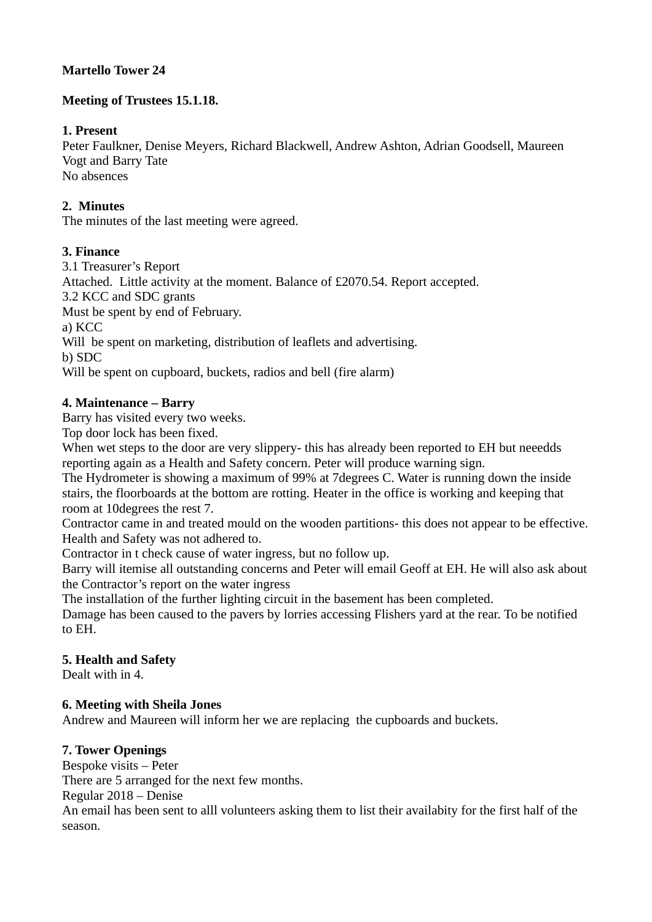## **Martello Tower 24**

## **Meeting of Trustees 15.1.18.**

## **1. Present**

Peter Faulkner, Denise Meyers, Richard Blackwell, Andrew Ashton, Adrian Goodsell, Maureen Vogt and Barry Tate No absences

# **2. Minutes**

The minutes of the last meeting were agreed.

### **3. Finance**

3.1 Treasurer's Report Attached. Little activity at the moment. Balance of £2070.54. Report accepted. 3.2 KCC and SDC grants Must be spent by end of February. a) KCC Will be spent on marketing, distribution of leaflets and advertising. b) SDC Will be spent on cupboard, buckets, radios and bell (fire alarm)

# **4. Maintenance – Barry**

Barry has visited every two weeks.

Top door lock has been fixed.

When wet steps to the door are very slippery- this has already been reported to EH but neeedds reporting again as a Health and Safety concern. Peter will produce warning sign.

The Hydrometer is showing a maximum of 99% at 7degrees C. Water is running down the inside stairs, the floorboards at the bottom are rotting. Heater in the office is working and keeping that room at 10degrees the rest 7.

Contractor came in and treated mould on the wooden partitions- this does not appear to be effective. Health and Safety was not adhered to.

Contractor in t check cause of water ingress, but no follow up.

Barry will itemise all outstanding concerns and Peter will email Geoff at EH. He will also ask about the Contractor's report on the water ingress

The installation of the further lighting circuit in the basement has been completed.

Damage has been caused to the pavers by lorries accessing Flishers yard at the rear. To be notified to EH.

### **5. Health and Safety**

Dealt with in 4.

### **6. Meeting with Sheila Jones**

Andrew and Maureen will inform her we are replacing the cupboards and buckets.

## **7. Tower Openings**

Bespoke visits – Peter

There are 5 arranged for the next few months.

Regular 2018 – Denise

An email has been sent to alll volunteers asking them to list their availabity for the first half of the season.